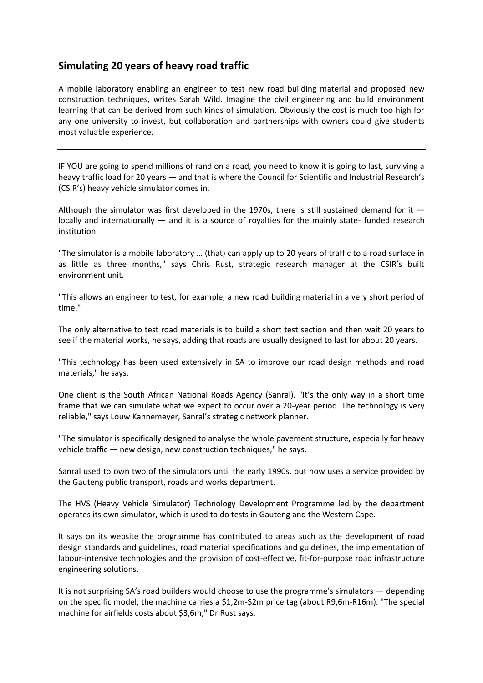## **Simulating 20 years of heavy road traffic**

A mobile laboratory enabling an engineer to test new road building material and proposed new construction techniques, writes Sarah Wild. Imagine the civil engineering and build environment learning that can be derived from such kinds of simulation. Obviously the cost is much too high for any one university to invest, but collaboration and partnerships with owners could give students most valuable experience.

IF YOU are going to spend millions of rand on a road, you need to know it is going to last, surviving a heavy traffic load for 20 years — and that is where the Council for Scientific and Industrial Research's (CSIR's) heavy vehicle simulator comes in.

Although the simulator was first developed in the 1970s, there is still sustained demand for it  $$ locally and internationally — and it is a source of royalties for the mainly state- funded research institution.

"The simulator is a mobile laboratory … (that) can apply up to 20 years of traffic to a road surface in as little as three months," says Chris Rust, strategic research manager at the CSIR's built environment unit.

"This allows an engineer to test, for example, a new road building material in a very short period of time."

The only alternative to test road materials is to build a short test section and then wait 20 years to see if the material works, he says, adding that roads are usually designed to last for about 20 years.

"This technology has been used extensively in SA to improve our road design methods and road materials," he says.

One client is the South African National Roads Agency (Sanral). "It's the only way in a short time frame that we can simulate what we expect to occur over a 20-year period. The technology is very reliable," says Louw Kannemeyer, Sanral's strategic network planner.

"The simulator is specifically designed to analyse the whole pavement structure, especially for heavy vehicle traffic — new design, new construction techniques," he says.

Sanral used to own two of the simulators until the early 1990s, but now uses a service provided by the Gauteng public transport, roads and works department.

The HVS (Heavy Vehicle Simulator) Technology Development Programme led by the department operates its own simulator, which is used to do tests in Gauteng and the Western Cape.

It says on its website the programme has contributed to areas such as the development of road design standards and guidelines, road material specifications and guidelines, the implementation of labour-intensive technologies and the provision of cost-effective, fit-for-purpose road infrastructure engineering solutions.

It is not surprising SA's road builders would choose to use the programme's simulators — depending on the specific model, the machine carries a \$1,2m-\$2m price tag (about R9,6m-R16m). "The special machine for airfields costs about \$3,6m," Dr Rust says.